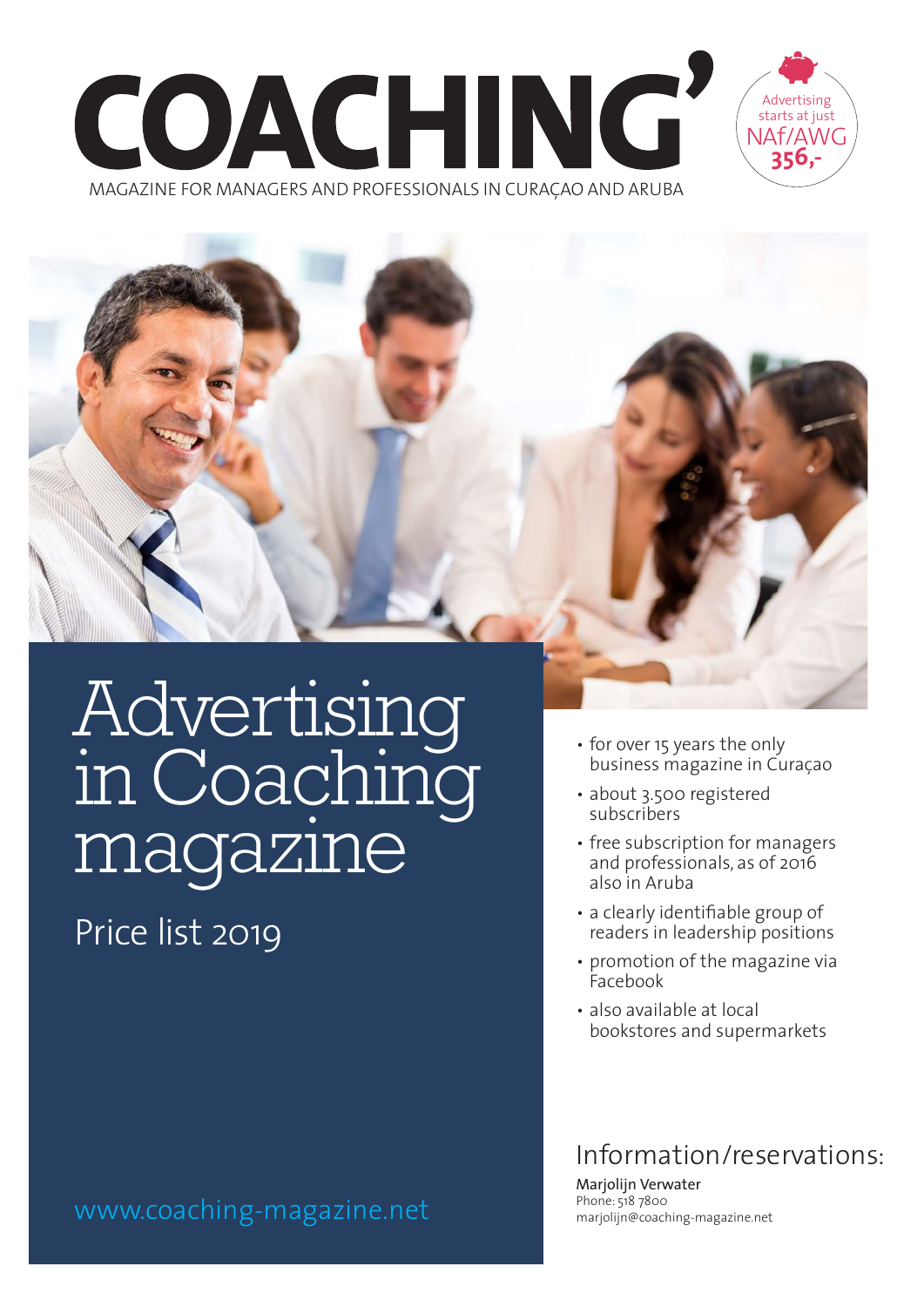





Price list 2019

www.coaching-magazine.net

- for over 15 years the only business magazine in Curaçao
- about 3.500 registered subscribers
- free subscription for managers and professionals, as of 2016 also in Aruba
- a clearly identifiable group of readers in leadership positions
- promotion of the magazine via Facebook
- also available at local bookstores and supermarkets

## Information/reservations:

Marjolijn Verwater Phone: 518 7800 marjolijn@coaching-magazine.net